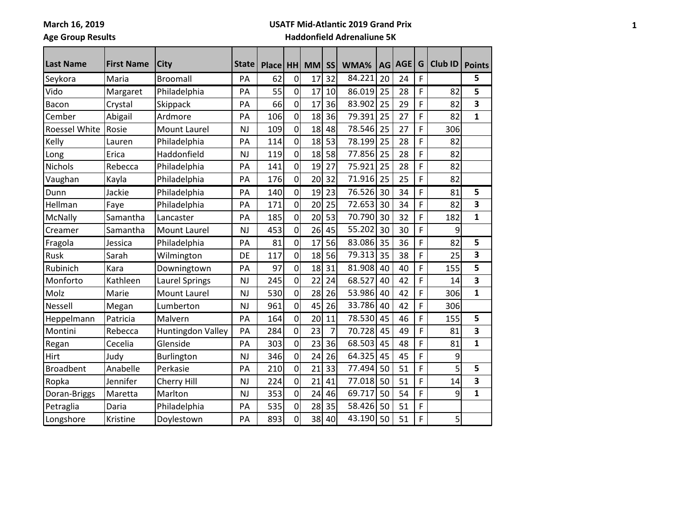Ē

### **USATF Mid-Atlantic 2019 Grand Prix**

# **Age Group Results**

| <b>Last Name</b> | <b>First Name</b> | City                  | <b>State</b> | <b>Place</b> | <b>HH</b>      | <b>MM</b>       | <b>SS</b> | WMA%   | AG | <b>AGE</b> | G | <b>Club ID</b> | <b>Points</b>           |
|------------------|-------------------|-----------------------|--------------|--------------|----------------|-----------------|-----------|--------|----|------------|---|----------------|-------------------------|
| Seykora          | Maria             | <b>Broomall</b>       | PA           | 62           | $\overline{0}$ | 17              | 32        | 84.221 | 20 | 24         | F |                | 5                       |
| Vido             | Margaret          | Philadelphia          | PA           | 55           | $\overline{0}$ | 17              | 10        | 86.019 | 25 | 28         | F | 82             | 5                       |
| Bacon            | Crystal           | Skippack              | PA           | 66           | $\overline{0}$ | 17              | 36        | 83.902 | 25 | 29         | F | 82             | $\overline{\mathbf{3}}$ |
| Cember           | Abigail           | Ardmore               | PA           | 106          | $\overline{0}$ | 18              | 36        | 79.391 | 25 | 27         | F | 82             | $\mathbf{1}$            |
| Roessel White    | Rosie             | Mount Laurel          | <b>NJ</b>    | 109          | $\overline{0}$ | 18              | 48        | 78.546 | 25 | 27         | F | 306            |                         |
| Kelly            | Lauren            | Philadelphia          | PA           | 114          | $\overline{0}$ | 18              | 53        | 78.199 | 25 | 28         | F | 82             |                         |
| Long             | Erica             | Haddonfield           | <b>NJ</b>    | 119          | $\overline{0}$ | 18              | 58        | 77.856 | 25 | 28         | F | 82             |                         |
| Nichols          | Rebecca           | Philadelphia          | PA           | 141          | $\overline{0}$ | 19              | 27        | 75.921 | 25 | 28         | F | 82             |                         |
| Vaughan          | Kayla             | Philadelphia          | PA           | 176          | $\overline{0}$ | 20              | 32        | 71.916 | 25 | 25         | F | 82             |                         |
| Dunn             | Jackie            | Philadelphia          | PA           | 140          | $\overline{0}$ | 19              | 23        | 76.526 | 30 | 34         | F | 81             | 5                       |
| Hellman          | Faye              | Philadelphia          | PA           | 171          | $\overline{0}$ | 20              | 25        | 72.653 | 30 | 34         | F | 82             | $\overline{\mathbf{3}}$ |
| McNally          | Samantha          | Lancaster             | PA           | 185          | $\overline{0}$ | 20              | 53        | 70.790 | 30 | 32         | F | 182            | $\mathbf{1}$            |
| Creamer          | Samantha          | <b>Mount Laurel</b>   | <b>NJ</b>    | 453          | $\overline{0}$ | 26              | 45        | 55.202 | 30 | 30         | F | 9              |                         |
| Fragola          | Jessica           | Philadelphia          | PA           | 81           | $\overline{0}$ | 17              | 56        | 83.086 | 35 | 36         | F | 82             | 5                       |
| Rusk             | Sarah             | Wilmington            | DE           | 117          | $\overline{0}$ | 18              | 56        | 79.313 | 35 | 38         | F | 25             | $\overline{\mathbf{3}}$ |
| Rubinich         | Kara              | Downingtown           | PA           | 97           | $\overline{0}$ | 18              | 31        | 81.908 | 40 | 40         | F | 155            | 5                       |
| Monforto         | Kathleen          | <b>Laurel Springs</b> | <b>NJ</b>    | 245          | $\overline{0}$ | 22              | 24        | 68.527 | 40 | 42         | F | 14             | $\overline{\mathbf{3}}$ |
| Molz             | Marie             | Mount Laurel          | <b>NJ</b>    | 530          | $\overline{0}$ | 28              | 26        | 53.986 | 40 | 42         | F | 306            | $\mathbf{1}$            |
| Nessell          | Megan             | Lumberton             | <b>NJ</b>    | 961          | $\overline{0}$ | 45              | 26        | 33.786 | 40 | 42         | F | 306            |                         |
| Heppelmann       | Patricia          | Malvern               | PA           | 164          | $\overline{0}$ | 20              | 11        | 78.530 | 45 | 46         | F | 155            | 5                       |
| Montini          | Rebecca           | Huntingdon Valley     | PA           | 284          | $\overline{0}$ | 23              | 7         | 70.728 | 45 | 49         | F | 81             | $\overline{\mathbf{3}}$ |
| Regan            | Cecelia           | Glenside              | PA           | 303          | $\overline{0}$ | 23              | 36        | 68.503 | 45 | 48         | F | 81             | $\mathbf{1}$            |
| Hirt             | Judy              | Burlington            | <b>NJ</b>    | 346          | $\overline{0}$ | 24              | 26        | 64.325 | 45 | 45         | F | 9              |                         |
| <b>Broadbent</b> | Anabelle          | Perkasie              | PA           | 210          | $\overline{0}$ | 21              | 33        | 77.494 | 50 | 51         | F | 5              | 5                       |
| Ropka            | Jennifer          | Cherry Hill           | <b>NJ</b>    | 224          | $\overline{0}$ | $\overline{21}$ | 41        | 77.018 | 50 | 51         | F | 14             | $\overline{\mathbf{3}}$ |
| Doran-Briggs     | Maretta           | Marlton               | <b>NJ</b>    | 353          | $\overline{0}$ | 24              | 46        | 69.717 | 50 | 54         | F | 9              | $\mathbf{1}$            |
| Petraglia        | Daria             | Philadelphia          | PA           | 535          | $\overline{0}$ | 28              | 35        | 58.426 | 50 | 51         | F |                |                         |
| Longshore        | Kristine          | Doylestown            | PA           | 893          | $\overline{0}$ | 38              | 40        | 43.190 | 50 | 51         | F | 5              |                         |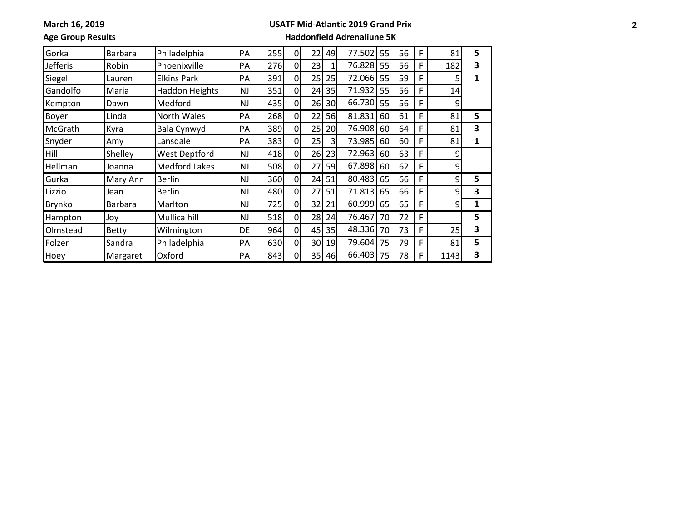**March 16, 2019**

### **USATF Mid-Atlantic 2019 Grand Prix**

**Age Group Results**

| Gorka           | Barbara      | Philadelphia          | PA        | 255 | $\Omega$       | 22 | 49             | 77.502 | 55 | 56 | F | 81   | 5 |
|-----------------|--------------|-----------------------|-----------|-----|----------------|----|----------------|--------|----|----|---|------|---|
| <b>Jefferis</b> | Robin        | Phoenixville          | PA        | 276 | $\overline{0}$ | 23 | 1 <sub>1</sub> | 76.828 | 55 | 56 | F | 182  | 3 |
| Siegel          | Lauren       | <b>Elkins Park</b>    | PA        | 391 | 0              | 25 | 25             | 72.066 | 55 | 59 | F |      | 1 |
| Gandolfo        | Maria        | <b>Haddon Heights</b> | <b>NJ</b> | 351 | 0              | 24 | 35             | 71.932 | 55 | 56 | F | 14   |   |
| Kempton         | Dawn         | Medford               | NJ.       | 435 | $\overline{0}$ | 26 | 30             | 66.730 | 55 | 56 | F | 9    |   |
| Boyer           | Linda        | North Wales           | PA        | 268 | $\Omega$       | 22 | 56             | 81.831 | 60 | 61 | F | 81   | 5 |
| McGrath         | Kyra         | Bala Cynwyd           | PA        | 389 | $\overline{0}$ | 25 | 20             | 76.908 | 60 | 64 | F | 81   | 3 |
| Snyder          | Amy          | Lansdale              | PA        | 383 | 0              | 25 | 3              | 73.985 | 60 | 60 | F | 81   | 1 |
| Hill            | Shelley      | <b>West Deptford</b>  | <b>NJ</b> | 418 | 0              | 26 | 23             | 72.963 | 60 | 63 | F | 9    |   |
| Hellman         | Joanna       | <b>Medford Lakes</b>  | NJ.       | 508 | 0              | 27 | 59             | 67.898 | 60 | 62 | F | 9    |   |
| Gurka           | Mary Ann     | <b>Berlin</b>         | <b>NJ</b> | 360 | $\Omega$       | 24 | 51             | 80.483 | 65 | 66 | F | 9    | 5 |
| Lizzio          | Jean         | <b>Berlin</b>         | <b>NJ</b> | 480 | 0l             | 27 | 51             | 71.813 | 65 | 66 | F | 9    | 3 |
| <b>Brynko</b>   | Barbara      | Marlton               | <b>NJ</b> | 725 | $\overline{0}$ | 32 | 21             | 60.999 | 65 | 65 | F | 9    | 1 |
| Hampton         | Joy          | Mullica hill          | <b>NJ</b> | 518 | $\overline{0}$ | 28 | 24             | 76.467 | 70 | 72 | F |      | 5 |
| Olmstead        | <b>Betty</b> | Wilmington            | DE        | 964 | 0l             | 45 | 35             | 48.336 | 70 | 73 | F | 25   | 3 |
| Folzer          | Sandra       | Philadelphia          | PA        | 630 | $\overline{0}$ | 30 | 19             | 79.604 | 75 | 79 | F | 81   | 5 |
| Hoey            | Margaret     | Oxford                | PA        | 843 | 0              | 35 | 46             | 66.403 | 75 | 78 | F | 1143 | 3 |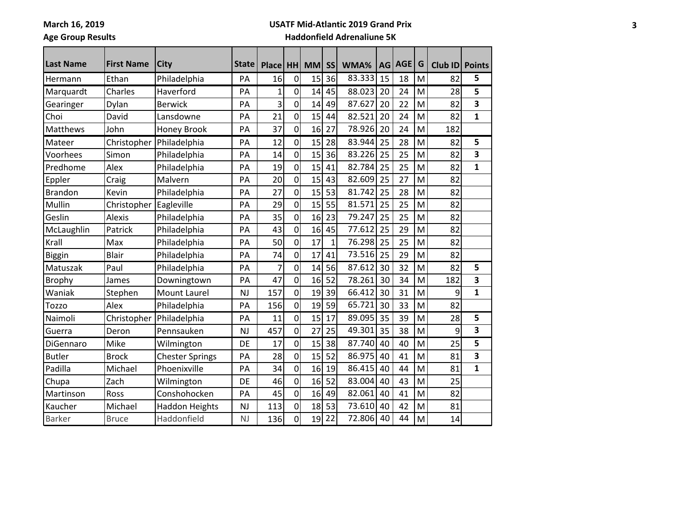Ē

### **USATF Mid-Atlantic 2019 Grand Prix**

# **Age Group Results**

| Last Name      | <b>First Name</b> | City                   | <b>State</b> |              |                |           |           |        |    | <b>AGE</b> | G |         |                         |
|----------------|-------------------|------------------------|--------------|--------------|----------------|-----------|-----------|--------|----|------------|---|---------|-------------------------|
|                |                   |                        |              | <b>Place</b> | <b>HH</b>      | <b>MM</b> | <b>SS</b> | WMA%   | AG |            |   | Club ID | <b>Points</b>           |
| Hermann        | Ethan             | Philadelphia           | PA           | 16           | $\overline{0}$ | 15        | 36        | 83.333 | 15 | 18         | M | 82      | 5                       |
| Marquardt      | Charles           | Haverford              | PA           | 1            | $\overline{0}$ | 14        | 45        | 88.023 | 20 | 24         | M | 28      | 5                       |
| Gearinger      | Dylan             | <b>Berwick</b>         | PA           | 3            | $\overline{0}$ | 14        | 49        | 87.627 | 20 | 22         | M | 82      | $\overline{\mathbf{3}}$ |
| Choi           | David             | Lansdowne              | PA           | 21           | $\overline{0}$ | 15        | 44        | 82.521 | 20 | 24         | M | 82      | $\mathbf{1}$            |
| Matthews       | John              | Honey Brook            | PA           | 37           | $\overline{0}$ | 16        | 27        | 78.926 | 20 | 24         | M | 182     |                         |
| Mateer         | Christopher       | Philadelphia           | PA           | 12           | $\overline{0}$ | 15        | 28        | 83.944 | 25 | 28         | M | 82      | 5                       |
| Voorhees       | Simon             | Philadelphia           | PA           | 14           | $\overline{0}$ | 15        | 36        | 83.226 | 25 | 25         | M | 82      | $\overline{\mathbf{3}}$ |
| Predhome       | Alex              | Philadelphia           | PA           | 19           | $\overline{0}$ | 15        | 41        | 82.784 | 25 | 25         | M | 82      | $\mathbf{1}$            |
| Eppler         | Craig             | Malvern                | PA           | 20           | $\overline{0}$ | 15        | 43        | 82.609 | 25 | 27         | M | 82      |                         |
| <b>Brandon</b> | Kevin             | Philadelphia           | PA           | 27           | $\overline{0}$ | 15        | 53        | 81.742 | 25 | 28         | M | 82      |                         |
| Mullin         | Christopher       | Eagleville             | PA           | 29           | $\overline{0}$ | 15        | 55        | 81.571 | 25 | 25         | M | 82      |                         |
| Geslin         | Alexis            | Philadelphia           | PA           | 35           | $\overline{0}$ | 16        | 23        | 79.247 | 25 | 25         | M | 82      |                         |
| McLaughlin     | Patrick           | Philadelphia           | PA           | 43           | $\overline{0}$ | 16        | 45        | 77.612 | 25 | 29         | M | 82      |                         |
| Krall          | Max               | Philadelphia           | PA           | 50           | $\overline{0}$ | 17        | 1         | 76.298 | 25 | 25         | M | 82      |                         |
| <b>Biggin</b>  | <b>Blair</b>      | Philadelphia           | PA           | 74           | $\overline{0}$ | 17        | 41        | 73.516 | 25 | 29         | M | 82      |                         |
| Matuszak       | Paul              | Philadelphia           | PA           | 7            | $\overline{0}$ | 14        | 56        | 87.612 | 30 | 32         | M | 82      | 5                       |
| <b>Brophy</b>  | James             | Downingtown            | PA           | 47           | $\overline{0}$ | 16        | 52        | 78.261 | 30 | 34         | M | 182     | $\overline{\mathbf{3}}$ |
| Waniak         | Stephen           | <b>Mount Laurel</b>    | <b>NJ</b>    | 157          | $\overline{0}$ | 19        | 39        | 66.412 | 30 | 31         | M | 9       | $\mathbf{1}$            |
| Tozzo          | Alex              | Philadelphia           | PA           | 156          | $\overline{0}$ | 19        | 59        | 65.721 | 30 | 33         | M | 82      |                         |
| Naimoli        | Christopher       | Philadelphia           | PA           | 11           | $\overline{0}$ | 15        | 17        | 89.095 | 35 | 39         | M | 28      | 5                       |
| Guerra         | Deron             | Pennsauken             | <b>NJ</b>    | 457          | $\overline{0}$ | 27        | 25        | 49.301 | 35 | 38         | M | 9       | 3                       |
| DiGennaro      | Mike              | Wilmington             | DE           | 17           | $\overline{0}$ | 15        | 38        | 87.740 | 40 | 40         | M | 25      | 5                       |
| <b>Butler</b>  | <b>Brock</b>      | <b>Chester Springs</b> | PA           | 28           | $\overline{0}$ | 15        | 52        | 86.975 | 40 | 41         | M | 81      | $\overline{\mathbf{3}}$ |
| Padilla        | Michael           | Phoenixville           | PA           | 34           | $\overline{0}$ | 16        | 19        | 86.415 | 40 | 44         | M | 81      | $\mathbf{1}$            |
| Chupa          | Zach              | Wilmington             | DE           | 46           | $\overline{0}$ | 16        | 52        | 83.004 | 40 | 43         | M | 25      |                         |
| Martinson      | Ross              | Conshohocken           | PA           | 45           | $\overline{0}$ | 16        | 49        | 82.061 | 40 | 41         | M | 82      |                         |
| Kaucher        | Michael           | <b>Haddon Heights</b>  | <b>NJ</b>    | 113          | $\overline{0}$ | 18        | 53        | 73.610 | 40 | 42         | M | 81      |                         |
| <b>Barker</b>  | <b>Bruce</b>      | Haddonfield            | <b>NJ</b>    | 136          | $\overline{0}$ | 19        | 22        | 72.806 | 40 | 44         | M | 14      |                         |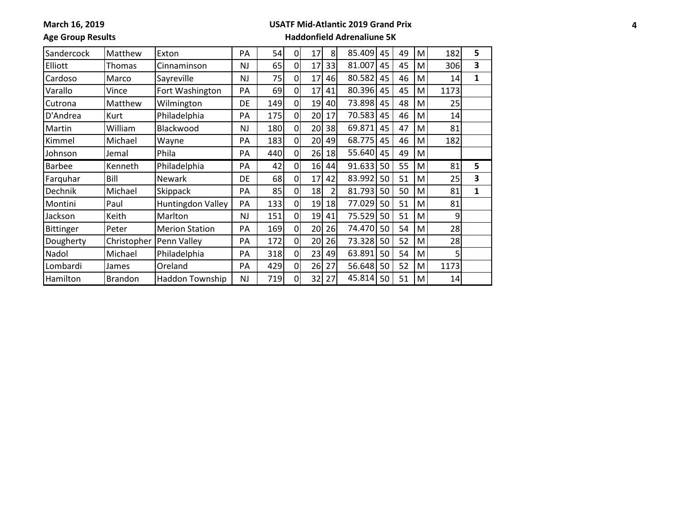**March 16, 2019**

### **USATF Mid-Atlantic 2019 Grand Prix**

**Age Group Results**

| Sandercock       | Matthew        | Exton                 | PA        | 54  | $\Omega$       | 17 | 8  | 85.409 | 45 | 49 | M | 182  | 5 |
|------------------|----------------|-----------------------|-----------|-----|----------------|----|----|--------|----|----|---|------|---|
| Elliott          | Thomas         | Cinnaminson           | <b>NJ</b> | 65  | $\Omega$       | 17 | 33 | 81.007 | 45 | 45 | м | 306  | 3 |
| Cardoso          | Marco          | Sayreville            | NJ        | 75  | $\overline{0}$ | 17 | 46 | 80.582 | 45 | 46 | M | 14   | 1 |
| Varallo          | Vince          | Fort Washington       | PA        | 69  | $\overline{0}$ | 17 | 41 | 80.396 | 45 | 45 | M | 1173 |   |
| Cutrona          | Matthew        | Wilmington            | DE        | 149 | $\overline{0}$ | 19 | 40 | 73.898 | 45 | 48 | M | 25   |   |
| D'Andrea         | Kurt           | Philadelphia          | PA        | 175 | $\overline{0}$ | 20 | 17 | 70.583 | 45 | 46 | M | 14   |   |
| Martin           | William        | Blackwood             | <b>NJ</b> | 180 | $\overline{0}$ | 20 | 38 | 69.871 | 45 | 47 | м | 81   |   |
| Kimmel           | Michael        | Wayne                 | PA        | 183 | $\overline{0}$ | 20 | 49 | 68.775 | 45 | 46 | м | 182  |   |
| Johnson          | Jemal          | Phila                 | PA        | 440 | $\overline{0}$ | 26 | 18 | 55.640 | 45 | 49 | M |      |   |
| <b>Barbee</b>    | Kenneth        | Philadelphia          | PA        | 42  | $\overline{0}$ | 16 | 44 | 91.633 | 50 | 55 | М | 81   | 5 |
| Farguhar         | Bill           | <b>Newark</b>         | <b>DE</b> | 68  | $\overline{0}$ | 17 | 42 | 83.992 | 50 | 51 | М | 25   | 3 |
| Dechnik          | Michael        | Skippack              | PA        | 85  | $\overline{0}$ | 18 | 2  | 81.793 | 50 | 50 | М | 81   | 1 |
| Montini          | Paul           | Huntingdon Valley     | PA        | 133 | $\overline{0}$ | 19 | 18 | 77.029 | 50 | 51 | М | 81   |   |
| Jackson          | Keith          | Marlton               | <b>NJ</b> | 151 | $\overline{0}$ | 19 | 41 | 75.529 | 50 | 51 | M | 9    |   |
| <b>Bittinger</b> | Peter          | <b>Merion Station</b> | PA        | 169 | $\overline{0}$ | 20 | 26 | 74.470 | 50 | 54 | M | 28   |   |
| Dougherty        | Christopher    | Penn Valley           | PA        | 172 | $\overline{0}$ | 20 | 26 | 73.328 | 50 | 52 | M | 28   |   |
| Nadol            | Michael        | Philadelphia          | PA        | 318 | $\overline{0}$ | 23 | 49 | 63.891 | 50 | 54 | M | 5.   |   |
| Lombardi         | James          | Oreland               | PA        | 429 | $\overline{0}$ | 26 | 27 | 56.648 | 50 | 52 | М | 1173 |   |
| Hamilton         | <b>Brandon</b> | Haddon Township       | <b>NJ</b> | 719 | $\overline{0}$ | 32 | 27 | 45.814 | 50 | 51 | M | 14   |   |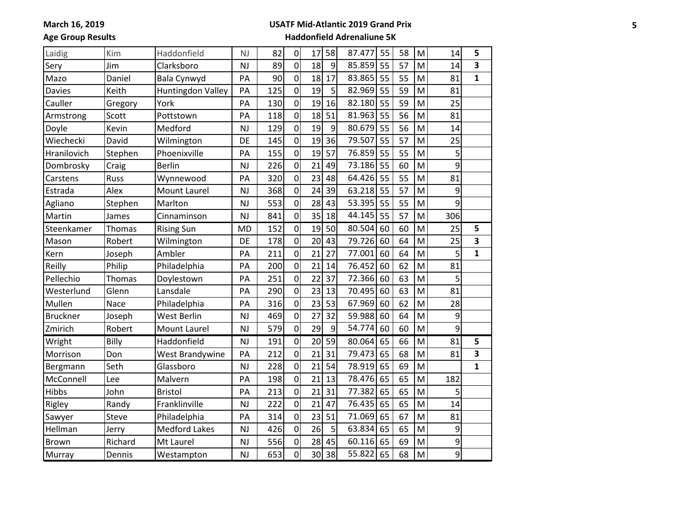### **USATF Mid-Atlantic 2019 Grand Prix**

**Age Group Results**

| Laidig          | Kim     | Haddonfield          | <b>NJ</b> | 82  | $\overline{0}$ | 17              | 58 | 87.477 | 55 | 58 | M | 14  | 5            |
|-----------------|---------|----------------------|-----------|-----|----------------|-----------------|----|--------|----|----|---|-----|--------------|
| Sery            | Jim     | Clarksboro           | <b>NJ</b> | 89  | $\overline{0}$ | 18              | 9  | 85.859 | 55 | 57 | M | 14  | 3            |
| Mazo            | Daniel  | Bala Cynwyd          | PA        | 90  | 0              | 18              | 17 | 83.865 | 55 | 55 | M | 81  | $\mathbf{1}$ |
| <b>Davies</b>   | Keith   | Huntingdon Valley    | PA        | 125 | 0              | 19              | 5  | 82.969 | 55 | 59 | M | 81  |              |
| Cauller         | Gregory | York                 | PA        | 130 | $\overline{0}$ | 19              | 16 | 82.180 | 55 | 59 | M | 25  |              |
| Armstrong       | Scott   | Pottstown            | PA        | 118 | 0              | 18              | 51 | 81.963 | 55 | 56 | M | 81  |              |
| Doyle           | Kevin   | Medford              | <b>NJ</b> | 129 | $\overline{0}$ | 19              | 9  | 80.679 | 55 | 56 | M | 14  |              |
| Wiechecki       | David   | Wilmington           | DE        | 145 | $\overline{0}$ | 19              | 36 | 79.507 | 55 | 57 | M | 25  |              |
| Hranilovich     | Stephen | Phoenixville         | PA        | 155 | $\overline{0}$ | 19              | 57 | 76.859 | 55 | 55 | M | 5   |              |
| Dombrosky       | Craig   | <b>Berlin</b>        | <b>NJ</b> | 226 | $\overline{0}$ | 21              | 49 | 73.186 | 55 | 60 | M | 9   |              |
| Carstens        | Russ    | Wynnewood            | PA        | 320 | $\overline{0}$ | 23              | 48 | 64.426 | 55 | 55 | M | 81  |              |
| Estrada         | Alex    | <b>Mount Laurel</b>  | <b>NJ</b> | 368 | 0              | 24              | 39 | 63.218 | 55 | 57 | M | 9   |              |
| Agliano         | Stephen | Marlton              | <b>NJ</b> | 553 | $\overline{0}$ | 28              | 43 | 53.395 | 55 | 55 | M | 9   |              |
| Martin          | James   | Cinnaminson          | <b>NJ</b> | 841 | 0              | 35              | 18 | 44.145 | 55 | 57 | M | 306 |              |
| Steenkamer      | Thomas  | <b>Rising Sun</b>    | <b>MD</b> | 152 | $\overline{0}$ | 19              | 50 | 80.504 | 60 | 60 | M | 25  | 5            |
| Mason           | Robert  | Wilmington           | DE        | 178 | $\overline{0}$ | 20              | 43 | 79.726 | 60 | 64 | M | 25  | 3            |
| Kern            | Joseph  | Ambler               | PA        | 211 | $\overline{0}$ | 21              | 27 | 77.001 | 60 | 64 | M | 5   | $\mathbf{1}$ |
| Reilly          | Philip  | Philadelphia         | PA        | 200 | 0              | 21              | 14 | 76.452 | 60 | 62 | M | 81  |              |
| Pellechio       | Thomas  | Doylestown           | PA        | 251 | $\overline{0}$ | 22              | 37 | 72.366 | 60 | 63 | M | 5   |              |
| Westerlund      | Glenn   | Lansdale             | PA        | 290 | $\overline{0}$ | 23              | 13 | 70.495 | 60 | 63 | M | 81  |              |
| Mullen          | Nace    | Philadelphia         | PA        | 316 | $\overline{0}$ | 23              | 53 | 67.969 | 60 | 62 | M | 28  |              |
| <b>Bruckner</b> | Joseph  | West Berlin          | <b>NJ</b> | 469 | $\overline{0}$ | 27              | 32 | 59.988 | 60 | 64 | M | 9   |              |
| Zmirich         | Robert  | <b>Mount Laurel</b>  | <b>NJ</b> | 579 | $\mathbf{0}$   | 29              | 9  | 54.774 | 60 | 60 | M | 9   |              |
| Wright          | Billy   | Haddonfield          | <b>NJ</b> | 191 | $\overline{0}$ | 20              | 59 | 80.064 | 65 | 66 | M | 81  | 5            |
| Morrison        | Don     | West Brandywine      | PA        | 212 | 0              | 21              | 31 | 79.473 | 65 | 68 | M | 81  | 3            |
| Bergmann        | Seth    | Glassboro            | <b>NJ</b> | 228 | 0              | 21              | 54 | 78.919 | 65 | 69 | M |     | $\mathbf{1}$ |
| McConnell       | Lee     | Malvern              | PA        | 198 | $\overline{0}$ | 21              | 13 | 78.476 | 65 | 65 | M | 182 |              |
| Hibbs           | John    | <b>Bristol</b>       | PA        | 213 | 0              | 21              | 31 | 77.382 | 65 | 65 | M | 5   |              |
| Rigley          | Randy   | Franklinville        | <b>NJ</b> | 222 | $\overline{0}$ | 21              | 47 | 76.435 | 65 | 65 | M | 14  |              |
| Sawyer          | Steve   | Philadelphia         | PA        | 314 | $\overline{0}$ | 23              | 51 | 71.069 | 65 | 67 | M | 81  |              |
| Hellman         | Jerry   | <b>Medford Lakes</b> | <b>NJ</b> | 426 | $\overline{0}$ | 26              | 5  | 63.834 | 65 | 65 | M | 9   |              |
| Brown           | Richard | Mt Laurel            | <b>NJ</b> | 556 | $\overline{0}$ | 28              | 45 | 60.116 | 65 | 69 | M | 9   |              |
| Murray          | Dennis  | Westampton           | <b>NJ</b> | 653 | $\overline{0}$ | 30 <sup>1</sup> | 38 | 55.822 | 65 | 68 | M | 9   |              |